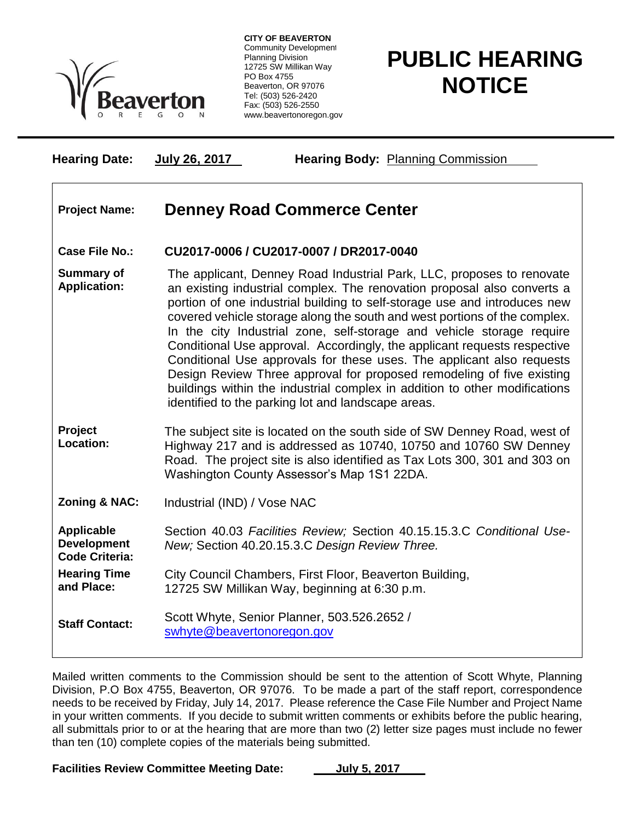

**CITY OF BEAVERTON** Community Development Planning Division 12725 SW Millikan Way PO Box 4755 Beaverton, OR 97076 Tel: (503) 526-2420 Fax: (503) 526-2550 www.beavertonoregon.gov

## **PUBLIC HEARING NOTICE**

**Hearing Date: July 26, 2017 Hearing Body:** Planning Commission

## **Project Name: Denney Road Commerce Center**

## **Case File No.: CU2017-0006 / CU2017-0007 / DR2017-0040**

**Summary of Application:** The applicant, Denney Road Industrial Park, LLC, proposes to renovate an existing industrial complex. The renovation proposal also converts a portion of one industrial building to self-storage use and introduces new covered vehicle storage along the south and west portions of the complex. In the city Industrial zone, self-storage and vehicle storage require Conditional Use approval. Accordingly, the applicant requests respective Conditional Use approvals for these uses. The applicant also requests Design Review Three approval for proposed remodeling of five existing buildings within the industrial complex in addition to other modifications identified to the parking lot and landscape areas.

**Project Location:** The subject site is located on the south side of SW Denney Road, west of Highway 217 and is addressed as 10740, 10750 and 10760 SW Denney Road. The project site is also identified as Tax Lots 300, 301 and 303 on Washington County Assessor's Map 1S1 22DA.

**Zoning & NAC:** Industrial (IND) / Vose NAC

**Applicable Development Code Criteria:** Section 40.03 *Facilities Review;* Section 40.15.15.3.C *Conditional Use-New;* Section 40.20.15.3.C *Design Review Three.*

**Hearing Time and Place:** City Council Chambers, First Floor, Beaverton Building, 12725 SW Millikan Way, beginning at 6:30 p.m.

**Staff Contact:** Scott Whyte, Senior Planner, 503.526.2652 / [swhyte@beavertonoregon.gov](mailto:swhyte@beavertonoregon.gov)

Mailed written comments to the Commission should be sent to the attention of Scott Whyte, Planning Division, P.O Box 4755, Beaverton, OR 97076. To be made a part of the staff report, correspondence needs to be received by Friday, July 14, 2017. Please reference the Case File Number and Project Name in your written comments. If you decide to submit written comments or exhibits before the public hearing, all submittals prior to or at the hearing that are more than two (2) letter size pages must include no fewer than ten (10) complete copies of the materials being submitted.

**Facilities Review Committee Meeting Date: July 5, 2017**